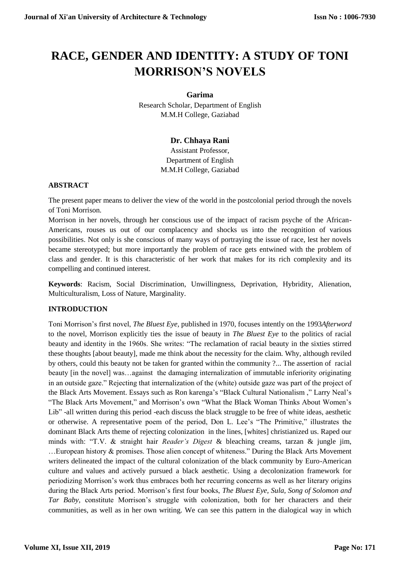# **RACE, GENDER AND IDENTITY: A STUDY OF TONI MORRISON'S NOVELS**

#### **Garima**

Research Scholar, Department of English M.M.H College, Gaziabad

# **Dr. Chhaya Rani**

Assistant Professor, Department of English M.M.H College, Gaziabad

## **ABSTRACT**

The present paper means to deliver the view of the world in the postcolonial period through the novels of Toni Morrison.

Morrison in her novels, through her conscious use of the impact of racism psyche of the African-Americans, rouses us out of our complacency and shocks us into the recognition of various possibilities. Not only is she conscious of many ways of portraying the issue of race, lest her novels became stereotyped; but more importantly the problem of race gets entwined with the problem of class and gender. It is this characteristic of her work that makes for its rich complexity and its compelling and continued interest.

**Keywords**: Racism, Social Discrimination, Unwillingness, Deprivation, Hybridity, Alienation, Multiculturalism, Loss of Nature, Marginality.

## **INTRODUCTION**

Toni Morrison's first novel, *The Bluest Eye,* published in 1970, focuses intently on the 1993*Afterword* to the novel, Morrison explicitly ties the issue of beauty in *The Bluest Eye* to the politics of racial beauty and identity in the 1960s. She writes: "The reclamation of racial beauty in the sixties stirred these thoughts [about beauty], made me think about the necessity for the claim. Why, although reviled by others, could this beauty not be taken for granted within the community ?... The assertion of racial beauty [in the novel] was…against the damaging internalization of immutable inferiority originating in an outside gaze." Rejecting that internalization of the (white) outside gaze was part of the project of the Black Arts Movement. Essays such as Ron karenga's "Black Cultural Nationalism ," Larry Neal's "The Black Arts Movement," and Morrison's own "What the Black Woman Thinks About Women's Lib" -all written during this period -each discuss the black struggle to be free of white ideas, aesthetic or otherwise. A representative poem of the period, Don L. Lee's "The Primitive," illustrates the dominant Black Arts theme of rejecting colonization in the lines, [whites] christianized us. Raped our minds with: "T.V. & straight hair *Reader's Digest* & bleaching creams, tarzan & jungle jim, …European history & promises. Those alien concept of whiteness." During the Black Arts Movement writers delineated the impact of the cultural colonization of the black community by Euro-American culture and values and actively pursued a black aesthetic. Using a decolonization framework for periodizing Morrison's work thus embraces both her recurring concerns as well as her literary origins during the Black Arts period. Morrison's first four books, *The Bluest Eye, Sula, Song of Solomon and Tar Baby,* constitute Morrison's struggle with colonization, both for her characters and their communities, as well as in her own writing. We can see this pattern in the dialogical way in which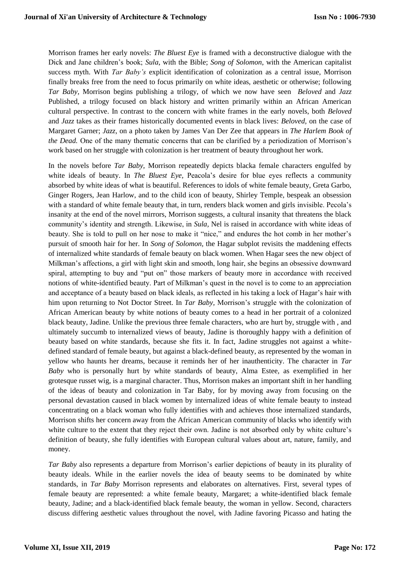Morrison frames her early novels: *The Bluest Eye* is framed with a deconstructive dialogue with the Dick and Jane children's book; *Sula*, with the Bible; *Song of Solomon*, with the American capitalist success myth. With *Tar Baby's* explicit identification of colonization as a central issue, Morrison finally breaks free from the need to focus primarily on white ideas, aesthetic or otherwise; following *Tar Baby,* Morrison begins publishing a trilogy, of which we now have seen *Beloved* and *Jazz*  Published, a trilogy focused on black history and written primarily within an African American cultural perspective. In contrast to the concern with white frames in the early novels, both *Beloved*  and *Jazz* takes as their frames historically documented events in black lives: *Beloved,* on the case of Margaret Garner; *Jazz*, on a photo taken by James Van Der Zee that appears in *The Harlem Book of the Dead.* One of the many thematic concerns that can be clarified by a periodization of Morrison's work based on her struggle with colonization is her treatment of beauty throughout her work.

In the novels before *Tar Baby,* Morrison repeatedly depicts blacka female characters engulfed by white ideals of beauty. In *The Bluest Eye*, Peacola's desire for blue eyes reflects a community absorbed by white ideas of what is beautiful. References to idols of white female beauty, Greta Garbo, Ginger Rogers, Jean Harlow, and to the child icon of beauty, Shirley Temple, bespeak an obsession with a standard of white female beauty that, in turn, renders black women and girls invisible. Pecola's insanity at the end of the novel mirrors, Morrison suggests, a cultural insanity that threatens the black community's identity and strength. Likewise, in *Sula,* Nel is raised in accordance with white ideas of beauty. She is told to pull on her nose to make it "nice," and endures the hot comb in her mother's pursuit of smooth hair for her. In *Song of Solomon,* the Hagar subplot revisits the maddening effects of internalized white standards of female beauty on black women. When Hagar sees the new object of Milkman's affections, a girl with light skin and smooth, long hair, she begins an obsessive downward spiral, attempting to buy and "put on" those markers of beauty more in accordance with received notions of white-identified beauty. Part of Milkman's quest in the novel is to come to an appreciation and acceptance of a beauty based on black ideals, as reflected in his taking a lock of Hagar's hair with him upon returning to Not Doctor Street. In *Tar Baby,* Morrison's struggle with the colonization of African American beauty by white notions of beauty comes to a head in her portrait of a colonized black beauty, Jadine. Unlike the previous three female characters, who are hurt by, struggle with , and ultimately succumb to internalized views of beauty, Jadine is thoroughly happy with a definition of beauty based on white standards, because she fits it. In fact, Jadine struggles not against a whitedefined standard of female beauty, but against a black-defined beauty, as represented by the woman in yellow who haunts her dreams, because it reminds her of her inauthenticity. The character in *Tar Baby* who is personally hurt by white standards of beauty, Alma Estee, as exemplified in her grotesque russet wig, is a marginal character. Thus, Morrison makes an important shift in her handling of the ideas of beauty and colonization in Tar Baby, for by moving away from focusing on the personal devastation caused in black women by internalized ideas of white female beauty to instead concentrating on a black woman who fully identifies with and achieves those internalized standards, Morrison shifts her concern away from the African American community of blacks who identify with white culture to the extent that they reject their own. Jadine is not absorbed only by white culture's definition of beauty, she fully identifies with European cultural values about art, nature, family, and money.

*Tar Baby* also represents a departure from Morrison's earlier depictions of beauty in its plurality of beauty ideals. While in the earlier novels the idea of beauty seems to be dominated by white standards, in *Tar Baby* Morrison represents and elaborates on alternatives. First, several types of female beauty are represented: a white female beauty, Margaret; a white-identified black female beauty, Jadine; and a black-identified black female beauty, the woman in yellow. Second, characters discuss differing aesthetic values throughout the novel, with Jadine favoring Picasso and hating the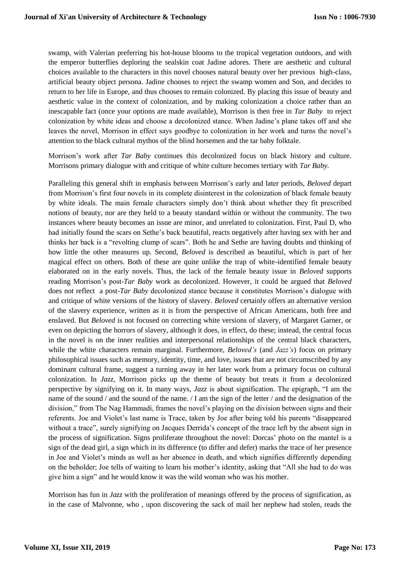swamp, with Valerian preferring his hot-house blooms to the tropical vegetation outdoors, and with the emperor butterflies deploring the sealskin coat Jadine adores. There are aesthetic and cultural choices available to the characters in this novel chooses natural beauty over her previous high-class, artificial beauty object persona. Jadine chooses to reject the swamp women and Son, and decides to return to her life in Europe, and thus chooses to remain colonized. By placing this issue of beauty and aesthetic value in the context of colonization, and by making colonization a choice rather than an inescapable fact (once your options are made available), Morrison is then free in *Tar Baby* to reject colonization by white ideas and choose a decolonized stance. When Jadine's plane takes off and she leaves the novel, Morrison in effect says goodbye to colonization in her work and turns the novel's attention to the black cultural mythos of the blind horsemen and the tar baby folktale.

Morrison's work after *Tar Baby* continues this decolonized focus on black history and culture. Morrisons primary dialogue with and critique of white culture becomes tertiary with *Tar Baby.*

Paralleling this general shift in emphasis between Morrison's early and later periods, *Beloved* depart from Morrison's first four novels in its complete disinterest in the colonization of black female beauty by white ideals. The main female characters simply don't think about whether they fit prescribed notions of beauty, nor are they held to a beauty standard within or without the community. The two instances where beauty becomes an issue are minor, and unrelated to colonization. First, Paul D, who had initially found the scars on Sethe's back beautiful, reacts negatively after having sex with her and thinks her back is a "revolting clump of scars". Both he and Sethe are having doubts and thinking of how little the other measures up. Second, *Beloved* is described as beautiful, which is part of her magical effect on others. Both of these are quite unlike the trap of white-identified female beauty elaborated on in the early novels. Thus, the lack of the female beauty issue in *Beloved* supports reading Morrison's post-*Tar Baby* work as decolonized. However, it could be argued that *Beloved*  does not reflect a post-*Tar Baby* decolonized stance because it constitutes Morrison's dialogue with and critique of white versions of the history of slavery. *Beloved* certainly offers an alternative version of the slavery experience, written as it is from the perspective of African Americans, both free and enslaved. But *Beloved* is not focused on correcting white versions of slavery, of Margaret Garner, or even on depicting the horrors of slavery, although it does, in effect, do these; instead, the central focus in the novel is on the inner realities and interpersonal relationships of the central black characters, while the white characters remain marginal. Furthermore, *Beloved's* (and *Jazz's*) focus on primary philosophical issues such as memory, identity, time, and love, issues that are not circumscribed by any dominant cultural frame, suggest a turning away in her later work from a primary focus on cultural colonization. In *Jazz,* Morrison picks up the theme of beauty but treats it from a decolonized perspective by signifying on it. In many ways, *Jazz* is about signification. The epigraph, "I am the name of the sound / and the sound of the name. / I am the sign of the letter / and the designation of the division," from The Nag Hammadi, frames the novel's playing on the division between signs and their referents. Joe and Violet's last name is Trace, taken by Joe after being told his parents "disappeared without a trace", surely signifying on Jacques Derrida's concept of the trace left by the absent sign in the process of signification. Signs proliferate throughout the novel: Dorcas' photo on the mantel is a sign of the dead girl, a sign which in its difference (to differ and defer) marks the trace of her presence in Joe and Violet's minds as well as her absence in death, and which signifies differently depending on the beholder; Joe tells of waiting to learn his mother's identity, asking that "All she had to do was give him a sign" and he would know it was the wild woman who was his mother.

Morrison has fun in *Jazz* with the proliferation of meanings offered by the process of signification, as in the case of Malvonne, who , upon discovering the sack of mail her nephew had stolen, reads the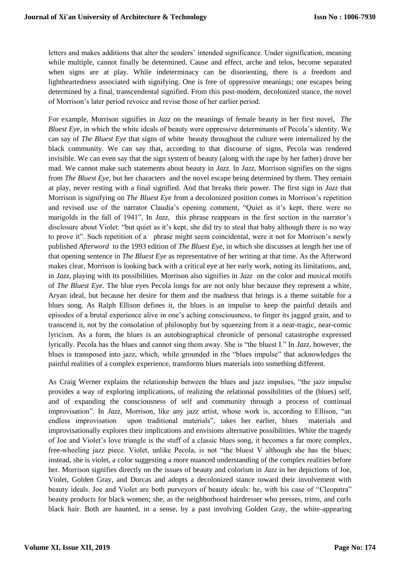letters and makes additions that alter the senders' intended significance. Under signification, meaning while multiple, cannot finally be determined. Cause and effect, arche and telos, become separated when signs are at play. While indeterminacy can be disorienting, there is a freedom and lightheartedness associated with signifying. One is free of oppressive meanings; one escapes being determined by a final, transcendental signified. From this post-modern, decolonized stance, the novel of Morrison's later period revoice and revise those of her earlier period.

For example, Morrison signifies in *Jazz* on the meanings of female beauty in her first novel, *The Bluest Eye,* in which the white ideals of beauty were oppressive determinants of Pecola's identity. We can say of *The Bluest Eye* that signs of white beauty throughout the culture were internalized by the black community. We can say that, according to that discourse of signs, Pecola was rendered invisible. We can even say that the sign system of beauty (along with the rape by her father) drove her mad. We cannot make such statements about beauty in *Jazz.* In *Jazz,* Morrison signifies on the signs from *The Bluest Eye,* but her characters and the novel escape being determined by them. They remain at play, never resting with a final signified. And that breaks their power. The first sign in *Jazz* that Morrison is signifying on *The Bluest Eye* from a decolonized position comes in Morrison's repetition and revised use of the narrator Claudia's opening comment, "Quiet as it's kept, there were no marigolds in the fall of 1941", In *Jazz,* this phrase reappears in the first section in the narrator's disclosure about Violet: "but quiet as it's kept, she did try to steal that baby although there is no way to prove it". Such repetition of a phrase might seem coincidental, were it not for Morrison's newly published *Afterword* to the 1993 edition of *The Bluest Eye*, in which she discusses at length her use of that opening sentence in *The Bluest Eye* as representative of her writing at that time. As the Afterword makes clear, Morrison is looking back with a critical eye at her early work, noting its limitations, and, in *Jazz,* playing with its possibilities. Morrison also signifies in *Jazz* on the color and musical motifs of *The Bluest Eye.* The blue eyes Pecola longs for are not only blue because they represent a white, Aryan ideal, but because her desire for them and the madness that brings is a theme suitable for a blues song. As Ralph Ellison defines it, the blues is an impulse to keep the painful details and episodes of a brutal experience alive in one's aching consciousness, to finger its jagged grain, and to transcend it, not by the consolation of philosophy but by squeezing from it a near-tragic, near-comic lyricism. As a form, the blues is an autobiographical chronicle of personal catastrophe expressed lyrically. Pecola has the blues and cannot sing them away. She is "the bluest I." In *Jazz,* however, the blues is transposed into jazz, which, while grounded in the "blues impulse" that acknowledges the painful realities of a complex experience, transforms blues materials into something different.

As Craig Werner explains the relationship between the blues and jazz impulses, "the jazz impulse provides a way of exploring implications, of realizing the relational possibilities of the (blues) self, and of expanding the consciousness of self and community through a process of continual improvisation". In *Jazz,* Morrison, like any jazz artist, whose work is, according to Ellison, "an endless improvisation upon traditional materials", takes her earlier, blues materials and improvisationally explores their implications and envisions alternative possibilities. White the tragedy of Joe and Violet's love triangle is the stuff of a classic blues song, it becomes a far more complex, free-wheeling jazz piece. Violet, unlike Pecola, is not "the bluest V although she has the blues; instead, she is violet, a color suggesting a more nuanced understanding of the complex realities before her. Morrison signifies directly on the issues of beauty and colorism in *Jazz* in her depictions of Joe, Violet, Golden Gray, and Dorcas and adopts a decolonized stance toward their involvement with beauty ideals. Joe and Violet are both purveyors of beauty ideals: he, with his case of "Cleopatra" beauty products for black women; she, as the neighborhood hairdresser who presses, trims, and curls black hair. Both are haunted, in a sense, by a past involving Golden Gray, the white-appearing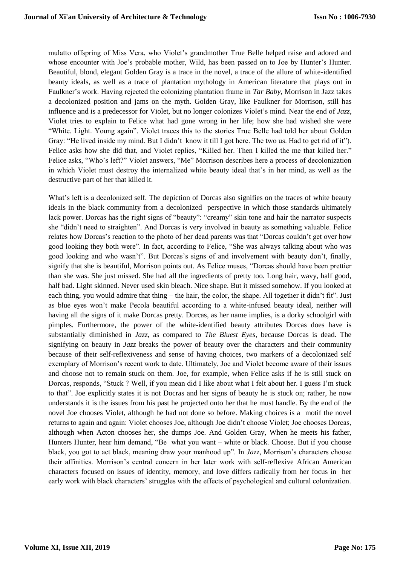mulatto offspring of Miss Vera, who Violet's grandmother True Belle helped raise and adored and whose encounter with Joe's probable mother, Wild, has been passed on to Joe by Hunter's Hunter. Beautiful, blond, elegant Golden Gray is a trace in the novel, a trace of the allure of white-identified beauty ideals, as well as a trace of plantation mythology in American literature that plays out in Faulkner's work. Having rejected the colonizing plantation frame in *Tar Baby,* Morrison in Jazz takes a decolonized position and jams on the myth. Golden Gray, like Faulkner for Morrison, still has influence and is a predecessor for Violet, but no longer colonizes Violet's mind. Near the end of *Jazz*, Violet tries to explain to Felice what had gone wrong in her life; how she had wished she were "White. Light. Young again". Violet traces this to the stories True Belle had told her about Golden Gray: "He lived inside my mind. But I didn't know it till I got here. The two us. Had to get rid of it"). Felice asks how she did that, and Violet replies, "Killed her. Then I killed the me that killed her." Felice asks, "Who's left?" Violet answers, "Me" Morrison describes here a process of decolonization in which Violet must destroy the internalized white beauty ideal that's in her mind, as well as the destructive part of her that killed it.

What's left is a decolonized self. The depiction of Dorcas also signifies on the traces of white beauty ideals in the black community from a decolonized perspective in which those standards ultimately lack power. Dorcas has the right signs of "beauty": "creamy" skin tone and hair the narrator suspects she "didn't need to straighten". And Dorcas is very involved in beauty as something valuable. Felice relates how Dorcas's reaction to the photo of her dead parents was that "Dorcas couldn't get over how good looking they both were". In fact, according to Felice, "She was always talking about who was good looking and who wasn't". But Dorcas's signs of and involvement with beauty don't, finally, signify that she is beautiful, Morrison points out. As Felice muses, "Dorcas should have been prettier than she was. She just missed. She had all the ingredients of pretty too. Long hair, wavy, half good, half bad. Light skinned. Never used skin bleach. Nice shape. But it missed somehow. If you looked at each thing, you would admire that thing – the hair, the color, the shape. All together it didn't fit". Just as blue eyes won't make Pecola beautiful according to a white-infused beauty ideal, neither will having all the signs of it make Dorcas pretty. Dorcas, as her name implies, is a dorky schoolgirl with pimples. Furthermore, the power of the white-identified beauty attributes Dorcas does have is substantially diminished in *Jazz*, as compared to *The Bluest Eyes,* because Dorcas is dead. The signifying on beauty in *Jazz* breaks the power of beauty over the characters and their community because of their self-reflexiveness and sense of having choices, two markers of a decolonized self exemplary of Morrison's recent work to date. Ultimately, Joe and Violet become aware of their issues and choose not to remain stuck on them. Joe, for example, when Felice asks if he is still stuck on Dorcas, responds, "Stuck ? Well, if you mean did I like about what I felt about her. I guess I'm stuck to that". Joe explicitly states it is not Docras and her signs of beauty he is stuck on; rather, he now understands it is the issues from his past he projected onto her that he must handle. By the end of the novel Joe chooses Violet, although he had not done so before. Making choices is a motif the novel returns to again and again: Violet chooses Joe, although Joe didn't choose Violet; Joe chooses Dorcas, although when Acton chooses her, she dumps Joe. And Golden Gray, When he meets his father, Hunters Hunter, hear him demand, "Be what you want – white or black. Choose. But if you choose black, you got to act black, meaning draw your manhood up". In *Jazz,* Morrison's characters choose their affinities. Morrison's central concern in her later work with self-reflexive African American characters focused on issues of identity, memory, and love differs radically from her focus in her early work with black characters' struggles with the effects of psychological and cultural colonization.